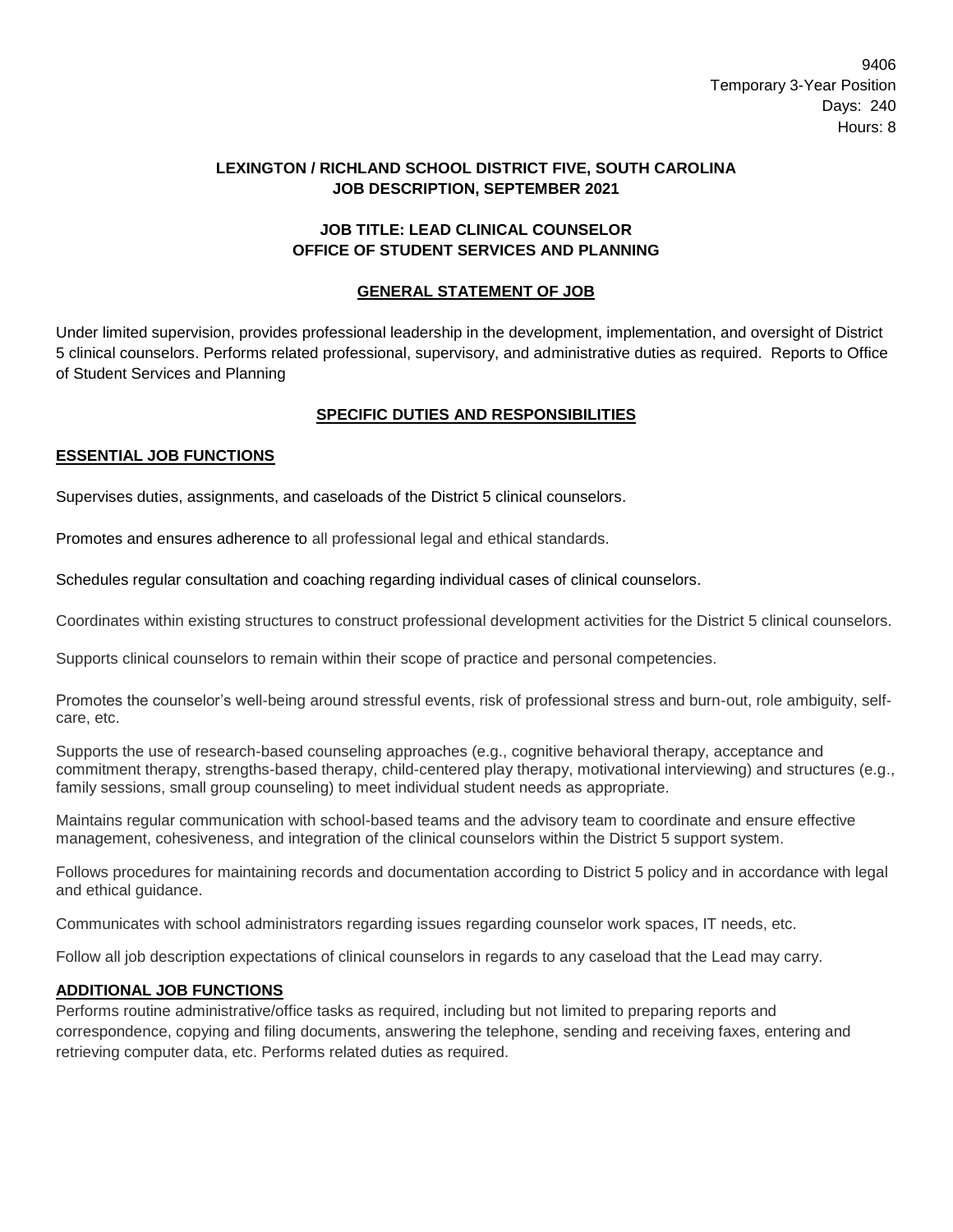9406 Temporary 3-Year Position Days: 240 Hours: 8

## **LEXINGTON / RICHLAND SCHOOL DISTRICT FIVE, SOUTH CAROLINA JOB DESCRIPTION, SEPTEMBER 2021**

### **JOB TITLE: LEAD CLINICAL COUNSELOR OFFICE OF STUDENT SERVICES AND PLANNING**

# **GENERAL STATEMENT OF JOB**

Under limited supervision, provides professional leadership in the development, implementation, and oversight of District 5 clinical counselors. Performs related professional, supervisory, and administrative duties as required. Reports to Office of Student Services and Planning

## **SPECIFIC DUTIES AND RESPONSIBILITIES**

#### **ESSENTIAL JOB FUNCTIONS**

Supervises duties, assignments, and caseloads of the District 5 clinical counselors.

Promotes and ensures adherence to all professional legal and ethical standards.

Schedules regular consultation and coaching regarding individual cases of clinical counselors.

Coordinates within existing structures to construct professional development activities for the District 5 clinical counselors.

Supports clinical counselors to remain within their scope of practice and personal competencies.

Promotes the counselor's well-being around stressful events, risk of professional stress and burn-out, role ambiguity, selfcare, etc.

Supports the use of research-based counseling approaches (e.g., cognitive behavioral therapy, acceptance and commitment therapy, strengths-based therapy, child-centered play therapy, motivational interviewing) and structures (e.g., family sessions, small group counseling) to meet individual student needs as appropriate.

Maintains regular communication with school-based teams and the advisory team to coordinate and ensure effective management, cohesiveness, and integration of the clinical counselors within the District 5 support system.

Follows procedures for maintaining records and documentation according to District 5 policy and in accordance with legal and ethical guidance.

Communicates with school administrators regarding issues regarding counselor work spaces, IT needs, etc.

Follow all job description expectations of clinical counselors in regards to any caseload that the Lead may carry.

#### **ADDITIONAL JOB FUNCTIONS**

Performs routine administrative/office tasks as required, including but not limited to preparing reports and correspondence, copying and filing documents, answering the telephone, sending and receiving faxes, entering and retrieving computer data, etc. Performs related duties as required.